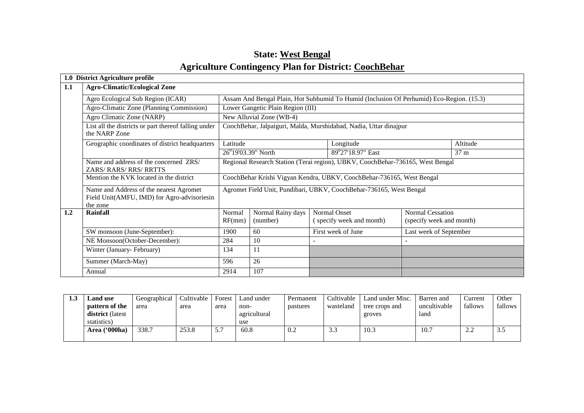| <b>State: West Bengal</b>                                    |
|--------------------------------------------------------------|
| <b>Agriculture Contingency Plan for District: CoochBehar</b> |

|     | 1.0 District Agriculture profile                                                                   |                                                                                |                                                                   |  |                                                                                          |                                                     |  |  |  |
|-----|----------------------------------------------------------------------------------------------------|--------------------------------------------------------------------------------|-------------------------------------------------------------------|--|------------------------------------------------------------------------------------------|-----------------------------------------------------|--|--|--|
| 1.1 | <b>Agro-Climatic/Ecological Zone</b>                                                               |                                                                                |                                                                   |  |                                                                                          |                                                     |  |  |  |
|     | Agro Ecological Sub Region (ICAR)                                                                  |                                                                                |                                                                   |  | Assam And Bengal Plain, Hot Subhumid To Humid (Inclusion Of Perhumid) Eco-Region. (15.3) |                                                     |  |  |  |
|     | Agro-Climatic Zone (Planning Commission)                                                           |                                                                                | Lower Gangetic Plain Region (III)                                 |  |                                                                                          |                                                     |  |  |  |
|     | Agro Climatic Zone (NARP)                                                                          |                                                                                | New Alluvial Zone (WB-4)                                          |  |                                                                                          |                                                     |  |  |  |
|     | List all the districts or part thereof falling under<br>the NARP Zone                              |                                                                                | CoochBehar, Jalpaiguri, Malda, Murshidabad, Nadia, Uttar dinajpur |  |                                                                                          |                                                     |  |  |  |
|     | Geographic coordinates of district headquarters                                                    | Latitude<br>Longitude<br>Altitude                                              |                                                                   |  |                                                                                          |                                                     |  |  |  |
|     |                                                                                                    | $26^{0}19'03.39"$ North<br>89 <sup>0</sup> 27'18.97" East<br>37 m              |                                                                   |  |                                                                                          |                                                     |  |  |  |
|     | Name and address of the concerned ZRS/<br>ZARS/RARS/RRS/RRTTS                                      | Regional Research Station (Terai region), UBKV, CoochBehar-736165, West Bengal |                                                                   |  |                                                                                          |                                                     |  |  |  |
|     | Mention the KVK located in the district                                                            |                                                                                |                                                                   |  | CoochBehar Krishi Vigyan Kendra, UBKV, CoochBehar-736165, West Bengal                    |                                                     |  |  |  |
|     | Name and Address of the nearest Agromet<br>Field Unit(AMFU, IMD) for Agro-advisoriesin<br>the zone | Agromet Field Unit, Pundibari, UBKV, CoochBehar-736165, West Bengal            |                                                                   |  |                                                                                          |                                                     |  |  |  |
| 1.2 | <b>Rainfall</b>                                                                                    | Normal<br>RF(mm)                                                               | Normal Rainy days<br>(number)                                     |  | Normal Onset<br>(specify week and month)                                                 | <b>Normal Cessation</b><br>(specify week and month) |  |  |  |
|     | SW monsoon (June-September):                                                                       | 1900                                                                           | 60                                                                |  | First week of June                                                                       | Last week of September                              |  |  |  |
|     | NE Monsoon(October-December):                                                                      | 284                                                                            | 10                                                                |  |                                                                                          |                                                     |  |  |  |
|     | Winter (January-February)                                                                          | 134                                                                            |                                                                   |  |                                                                                          |                                                     |  |  |  |
|     | Summer (March-May)                                                                                 | 596                                                                            | 26                                                                |  |                                                                                          |                                                     |  |  |  |
|     | Annual                                                                                             | 2914                                                                           | 107                                                               |  |                                                                                          |                                                     |  |  |  |

| 1.3 | <b>Land use</b>         | Geographical | Cultivable | Forest | Land under   | Permanent | Cultivable           | Land under Misc. | Barren and   | Current            | Other   |
|-----|-------------------------|--------------|------------|--------|--------------|-----------|----------------------|------------------|--------------|--------------------|---------|
|     | pattern of the          | area         | area       | area   | non-         | pastures  | wasteland            | tree crops and   | uncultivable | fallows            | fallows |
|     | <b>district</b> (latest |              |            |        | agricultural |           |                      | groves           | land         |                    |         |
|     | statistics)             |              |            |        | use          |           |                      |                  |              |                    |         |
|     | Area ('000ha)           | 338.7        | 253.8      | J.     | 60.8         | 0.2       | $\sim$ $\sim$<br>د.د | 10.3             | 10.7         | $\bigcap$<br>متعصر | 3.J     |
|     |                         |              |            |        |              |           |                      |                  |              |                    |         |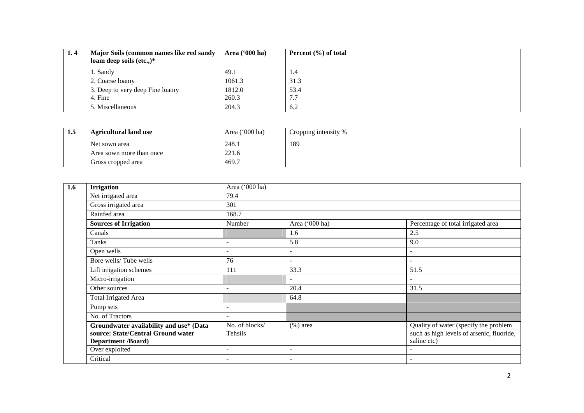| 1.4 | Major Soils (common names like red sandy<br>loam deep soils $(\text{etc.})^*$ | Area $(900 \text{ ha})$ | Percent $(\% )$ of total |
|-----|-------------------------------------------------------------------------------|-------------------------|--------------------------|
|     |                                                                               |                         |                          |
|     | 1. Sandy                                                                      | 49.1                    | ۰. +                     |
|     | 2. Coarse loamy                                                               | 1061.3                  | 31.3                     |
|     | 3. Deep to very deep Fine loamy                                               | 1812.0                  | 53.4                     |
|     | 4. Fine                                                                       | 260.3                   |                          |
|     | 5. Miscellaneous                                                              | 204.3                   | 6.2                      |

| 1.5 | <b>Agricultural land use</b> | Area $('000 ha)$ | Cropping intensity % |
|-----|------------------------------|------------------|----------------------|
|     | Net sown area                | 248.1            | 189                  |
|     | Area sown more than once     | 221.6            |                      |
|     | Gross cropped area           | 469.7            |                      |

| 1.6 | <b>Irrigation</b>                                                                                          | Area ('000 ha)            |                          |                                                                                                   |  |
|-----|------------------------------------------------------------------------------------------------------------|---------------------------|--------------------------|---------------------------------------------------------------------------------------------------|--|
|     | Net irrigated area                                                                                         | 79.4                      |                          |                                                                                                   |  |
|     | Gross irrigated area                                                                                       | 301                       |                          |                                                                                                   |  |
|     | Rainfed area                                                                                               | 168.7                     |                          |                                                                                                   |  |
|     | <b>Sources of Irrigation</b>                                                                               | Number                    | Area ('000 ha)           | Percentage of total irrigated area                                                                |  |
|     | Canals                                                                                                     |                           | 1.6                      | 2.5                                                                                               |  |
|     | Tanks                                                                                                      |                           | 5.8                      | 9.0                                                                                               |  |
|     | Open wells                                                                                                 |                           | $\overline{\phantom{a}}$ |                                                                                                   |  |
|     | Bore wells/Tube wells                                                                                      | 76                        | $\overline{\phantom{a}}$ | $\overline{\phantom{a}}$                                                                          |  |
|     | Lift irrigation schemes                                                                                    | 111                       | 33.3                     | 51.5                                                                                              |  |
|     | Micro-irrigation                                                                                           |                           | $\overline{\phantom{0}}$ | $\overline{\phantom{a}}$                                                                          |  |
|     | Other sources                                                                                              |                           | 20.4                     | 31.5                                                                                              |  |
|     | <b>Total Irrigated Area</b>                                                                                |                           | 64.8                     |                                                                                                   |  |
|     | Pump sets                                                                                                  |                           |                          |                                                                                                   |  |
|     | No. of Tractors                                                                                            |                           |                          |                                                                                                   |  |
|     | Groundwater availability and use* (Data<br>source: State/Central Ground water<br><b>Department /Board)</b> | No. of blocks/<br>Tehsils | $(\%)$ area              | Quality of water (specify the problem<br>such as high levels of arsenic, fluoride,<br>saline etc) |  |
|     | Over exploited                                                                                             |                           | $\overline{\phantom{a}}$ |                                                                                                   |  |
|     | Critical                                                                                                   |                           | $\sim$                   |                                                                                                   |  |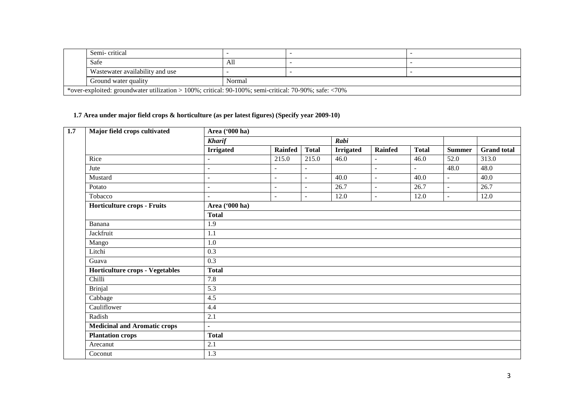| Semi-critical                                                                                         |        |  |  |  |  |  |  |
|-------------------------------------------------------------------------------------------------------|--------|--|--|--|--|--|--|
| Safe                                                                                                  | All    |  |  |  |  |  |  |
| Wastewater availability and use                                                                       |        |  |  |  |  |  |  |
| Ground water quality                                                                                  | Normal |  |  |  |  |  |  |
| *over-exploited: groundwater utilization > 100%; critical: 90-100%; semi-critical: 70-90%; safe: <70% |        |  |  |  |  |  |  |

#### **1.7 Area under major field crops & horticulture (as per latest figures) (Specify year 2009-10)**

| Major field crops cultivated                                                                                                                                                                                                             | Area ('000 ha)           |                          |                          |                  |                          |                |               |                    |  |  |  |
|------------------------------------------------------------------------------------------------------------------------------------------------------------------------------------------------------------------------------------------|--------------------------|--------------------------|--------------------------|------------------|--------------------------|----------------|---------------|--------------------|--|--|--|
|                                                                                                                                                                                                                                          | <b>Kharif</b>            |                          |                          | Rabi             |                          |                |               |                    |  |  |  |
| Rice<br>Jute<br>Mustard<br>Potato<br>Tobacco<br>Horticulture crops - Fruits<br>Banana<br>Jackfruit<br>Mango<br>Litchi<br>Guava<br><b>Horticulture crops - Vegetables</b><br>Chilli<br><b>Brinjal</b><br>Cabbage<br>Cauliflower<br>Radish | <b>Irrigated</b>         | Rainfed                  | <b>Total</b>             | <b>Irrigated</b> | Rainfed                  | <b>Total</b>   | <b>Summer</b> | <b>Grand</b> total |  |  |  |
|                                                                                                                                                                                                                                          | $\overline{\phantom{a}}$ | 215.0                    | 215.0                    | 46.0             | $\overline{\phantom{a}}$ | 46.0           | 52.0          | 313.0              |  |  |  |
|                                                                                                                                                                                                                                          | $\blacksquare$           | $\overline{\phantom{a}}$ | $\blacksquare$           |                  | $\overline{\phantom{a}}$ | $\blacksquare$ | 48.0          | 48.0               |  |  |  |
|                                                                                                                                                                                                                                          | $\sim$                   | $\overline{\phantom{a}}$ | $\sim$                   | 40.0             | $\overline{\phantom{a}}$ | 40.0           | $\sim$        | 40.0               |  |  |  |
|                                                                                                                                                                                                                                          | $\blacksquare$           | $\overline{\phantom{a}}$ | $\blacksquare$           | 26.7             | $\overline{\phantom{a}}$ | 26.7           | $\mathbf{r}$  | 26.7               |  |  |  |
|                                                                                                                                                                                                                                          | $\mathbf{r}$             | $\overline{\phantom{a}}$ | $\overline{\phantom{a}}$ | 12.0             | $\overline{\phantom{a}}$ | 12.0           | $\sim$        | 12.0               |  |  |  |
|                                                                                                                                                                                                                                          | Area ('000 ha)           |                          |                          |                  |                          |                |               |                    |  |  |  |
|                                                                                                                                                                                                                                          | <b>Total</b>             |                          |                          |                  |                          |                |               |                    |  |  |  |
|                                                                                                                                                                                                                                          | 1.9                      |                          |                          |                  |                          |                |               |                    |  |  |  |
|                                                                                                                                                                                                                                          | 1.1                      |                          |                          |                  |                          |                |               |                    |  |  |  |
|                                                                                                                                                                                                                                          | 1.0                      |                          |                          |                  |                          |                |               |                    |  |  |  |
|                                                                                                                                                                                                                                          | 0.3                      |                          |                          |                  |                          |                |               |                    |  |  |  |
|                                                                                                                                                                                                                                          | 0.3                      |                          |                          |                  |                          |                |               |                    |  |  |  |
|                                                                                                                                                                                                                                          | <b>Total</b>             |                          |                          |                  |                          |                |               |                    |  |  |  |
|                                                                                                                                                                                                                                          | 7.8                      |                          |                          |                  |                          |                |               |                    |  |  |  |
|                                                                                                                                                                                                                                          | 5.3                      |                          |                          |                  |                          |                |               |                    |  |  |  |
|                                                                                                                                                                                                                                          | 4.5                      |                          |                          |                  |                          |                |               |                    |  |  |  |
|                                                                                                                                                                                                                                          | 4.4                      |                          |                          |                  |                          |                |               |                    |  |  |  |
|                                                                                                                                                                                                                                          | 2.1                      |                          |                          |                  |                          |                |               |                    |  |  |  |
| <b>Medicinal and Aromatic crops</b>                                                                                                                                                                                                      | $\sim$                   |                          |                          |                  |                          |                |               |                    |  |  |  |
| <b>Plantation crops</b>                                                                                                                                                                                                                  | <b>Total</b>             |                          |                          |                  |                          |                |               |                    |  |  |  |
| Arecanut                                                                                                                                                                                                                                 | 2.1                      |                          |                          |                  |                          |                |               |                    |  |  |  |
| Coconut                                                                                                                                                                                                                                  | 1.3                      |                          |                          |                  |                          |                |               |                    |  |  |  |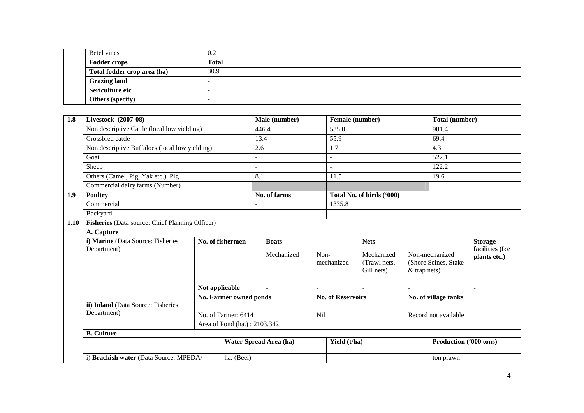| Betel vines                 | 0.2          |
|-----------------------------|--------------|
| <b>Fodder crops</b>         | <b>Total</b> |
| Total fodder crop area (ha) | 30.9         |
| <b>Grazing land</b>         |              |
| Sericulture etc             |              |
| Others (specify)            |              |

| 1.8  | Livestock (2007-08)                             |                                   |                          |                                  |            | Female (number)          |                           |                | Total (number)         |                                 |
|------|-------------------------------------------------|-----------------------------------|--------------------------|----------------------------------|------------|--------------------------|---------------------------|----------------|------------------------|---------------------------------|
|      | Non descriptive Cattle (local low yielding)     |                                   |                          | 446.4                            |            | 535.0                    |                           |                | 981.4                  |                                 |
|      | Crossbred cattle                                |                                   |                          | 13.4                             |            | 55.9                     |                           |                | 69.4                   |                                 |
|      | Non descriptive Buffaloes (local low yielding)  |                                   |                          | 2.6                              |            | 1.7                      |                           |                | 4.3                    |                                 |
|      | Goat                                            |                                   | $\overline{\phantom{a}}$ |                                  |            | $\mathbf{r}$             |                           |                | 522.1                  |                                 |
|      | Sheep                                           |                                   |                          | $\overline{a}$                   |            | $\sim$                   |                           |                | 122.2                  |                                 |
|      | Others (Camel, Pig, Yak etc.) Pig               |                                   |                          | 8.1                              |            | 11.5                     |                           |                | 19.6                   |                                 |
|      | Commercial dairy farms (Number)                 |                                   |                          |                                  |            |                          |                           |                |                        |                                 |
| 1.9  | <b>Poultry</b>                                  |                                   |                          | No. of farms                     |            |                          | Total No. of birds ('000) |                |                        |                                 |
|      | Commercial                                      |                                   |                          |                                  |            | 1335.8                   |                           |                |                        |                                 |
|      | Backyard                                        |                                   | $\sim$                   |                                  |            |                          |                           |                |                        |                                 |
| 1.10 | Fisheries (Data source: Chief Planning Officer) |                                   |                          |                                  |            |                          |                           |                |                        |                                 |
|      | A. Capture                                      |                                   |                          |                                  |            |                          |                           |                |                        |                                 |
|      |                                                 | i) Marine (Data Source: Fisheries |                          | No. of fishermen<br><b>Boats</b> |            | <b>Nets</b>              |                           |                | <b>Storage</b>         |                                 |
|      | Department)                                     |                                   |                          | Mechanized                       |            | Non-                     | Mechanized                |                | Non-mechanized         | facilities (Ice<br>plants etc.) |
|      |                                                 |                                   |                          |                                  |            | mechanized               | (Trawl nets,              |                | (Shore Seines, Stake   |                                 |
|      |                                                 |                                   |                          |                                  |            |                          | Gill nets)                | $&$ trap nets) |                        |                                 |
|      |                                                 |                                   |                          |                                  |            |                          |                           |                |                        |                                 |
|      |                                                 | Not applicable                    |                          |                                  |            |                          |                           | $\blacksquare$ |                        |                                 |
|      | ii) Inland (Data Source: Fisheries              |                                   | No. Farmer owned ponds   |                                  |            | <b>No. of Reservoirs</b> |                           |                | No. of village tanks   |                                 |
|      | Department)                                     |                                   | No. of Farmer: 6414      |                                  | <b>Nil</b> |                          |                           |                | Record not available   |                                 |
|      | Area of Pond (ha.): 2103.342                    |                                   |                          |                                  |            |                          |                           |                |                        |                                 |
|      | <b>B.</b> Culture                               |                                   |                          |                                  |            |                          |                           |                |                        |                                 |
|      |                                                 |                                   |                          | Water Spread Area (ha)           |            | Yield (t/ha)             |                           |                | Production ('000 tons) |                                 |
|      | i) Brackish water (Data Source: MPEDA/          |                                   | ha. (Beel)               |                                  |            |                          |                           |                | ton prawn              |                                 |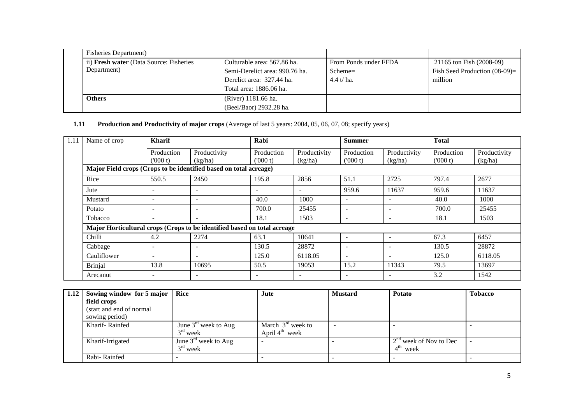| <b>Fisheries Department</b> )                  |                                |                       |                                  |
|------------------------------------------------|--------------------------------|-----------------------|----------------------------------|
| ii) <b>Fresh water</b> (Data Source: Fisheries | Culturable area: 567.86 ha.    | From Ponds under FFDA | 21165 ton Fish (2008-09)         |
| Department)                                    | Semi-Derelict area: 990.76 ha. | Scheme=               | Fish Seed Production $(08-09)$ = |
|                                                | Derelict area: 327.44 ha.      | $4.4 t/ha$ .          | million                          |
|                                                | Total area: 1886.06 ha.        |                       |                                  |
| <b>Others</b>                                  | (River) 1181.66 ha.            |                       |                                  |
|                                                | (Beel/Baor) 2932.28 ha.        |                       |                                  |

## **1.11 Production and Productivity of major crops** (Average of last 5 years: 2004, 05, 06, 07, 08; specify years)

| 1.11 | Name of crop                                                             | <b>Kharif</b>            |                          | Rabi                     |                          | <b>Summer</b>            |                          | <b>Total</b>          |                         |
|------|--------------------------------------------------------------------------|--------------------------|--------------------------|--------------------------|--------------------------|--------------------------|--------------------------|-----------------------|-------------------------|
|      |                                                                          | Production<br>(000 t)    | Productivity<br>(kg/ha)  | Production<br>(000 t)    | Productivity<br>(kg/ha)  | Production<br>(000 t)    | Productivity<br>(kg/ha)  | Production<br>(000 t) | Productivity<br>(kg/ha) |
|      | Major Field crops (Crops to be identified based on total acreage)        |                          |                          |                          |                          |                          |                          |                       |                         |
|      | Rice                                                                     | 550.5                    | 2450                     | 195.8                    | 2856                     | 51.1                     | 2725                     | 797.4                 | 2677                    |
|      | Jute                                                                     | $\overline{\phantom{a}}$ | $\overline{\phantom{a}}$ | ۰                        | $\overline{\phantom{a}}$ | 959.6                    | 11637                    | 959.6                 | 11637                   |
|      | Mustard                                                                  | $\overline{\phantom{a}}$ | $\overline{\phantom{a}}$ | 40.0                     | 1000                     | $\overline{\phantom{a}}$ | $\overline{\phantom{a}}$ | 40.0                  | 1000                    |
|      | Potato                                                                   | $\sim$                   | $\overline{\phantom{a}}$ | 700.0                    | 25455                    | $\overline{\phantom{a}}$ | $\overline{\phantom{a}}$ | 700.0                 | 25455                   |
|      | Tobacco                                                                  | $\overline{\phantom{a}}$ | $\overline{\phantom{a}}$ | 18.1                     | 1503                     | $\overline{\phantom{a}}$ |                          | 18.1                  | 1503                    |
|      | Major Horticultural crops (Crops to be identified based on total acreage |                          |                          |                          |                          |                          |                          |                       |                         |
|      | Chilli                                                                   | 4.2                      | 2274                     | 63.1                     | 10641                    | $\overline{\phantom{0}}$ |                          | 67.3                  | 6457                    |
|      | Cabbage                                                                  | $\overline{\phantom{a}}$ | $\overline{\phantom{a}}$ | 130.5                    | 28872                    | $\overline{\phantom{a}}$ |                          | 130.5                 | 28872                   |
|      | Cauliflower                                                              | $\sim$                   | $\overline{\phantom{a}}$ | 125.0                    | 6118.05                  | $\overline{\phantom{a}}$ | $\overline{\phantom{a}}$ | 125.0                 | 6118.05                 |
|      | <b>Brinjal</b>                                                           | 13.8                     | 10695                    | 50.5                     | 19053                    | 15.2                     | 11343                    | 79.5                  | 13697                   |
|      | Arecanut                                                                 | $\overline{\phantom{a}}$ | $\overline{\phantom{a}}$ | $\overline{\phantom{0}}$ | $\overline{\phantom{a}}$ | $\overline{\phantom{0}}$ |                          | 3.2                   | 1542                    |

| 1.12 Sowing window for 5 major   Rice |                                  | Jute                       | <b>Mustard</b> | <b>Potato</b>            | <b>Tobacco</b> |
|---------------------------------------|----------------------------------|----------------------------|----------------|--------------------------|----------------|
| field crops                           |                                  |                            |                |                          |                |
| (start and end of normal)             |                                  |                            |                |                          |                |
| sowing period)                        |                                  |                            |                |                          |                |
| Kharif-Rainfed                        | June $3^{\text{rd}}$ week to Aug | March $3rd$ week to        |                |                          |                |
|                                       | $3rd$ week                       | April $4^{\text{th}}$ week |                |                          |                |
| Kharif-Irrigated                      | June $3^{\text{rd}}$ week to Aug |                            |                | $2nd$ week of Nov to Dec |                |
|                                       | $3rd$ week                       |                            |                | $4^{\text{th}}$ week     |                |
| Rabi-Rainfed                          |                                  |                            |                |                          |                |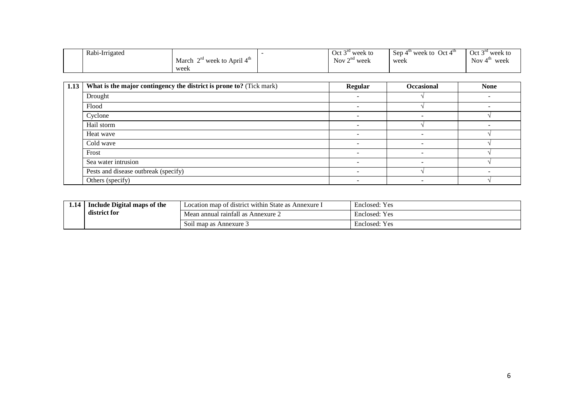| Rabi-Irrigated |                                   | $\sim$ ru<br>$Oct$ .<br>week to     | Sep 4<br>Oct 4 <sup>tn</sup><br>$4^{\mathrm{m}}$ week to | Oct $3^{ra}$ week to |
|----------------|-----------------------------------|-------------------------------------|----------------------------------------------------------|----------------------|
|                | $2^{rd}$ week to April 4<br>March | $\cap$ na<br>Nov $\angle$<br>* week | week<br>.                                                | Nov $4$<br>week      |
|                | week                              |                                     |                                                          |                      |

| 1.13 | What is the major contingency the district is prone to? (Tick mark) | <b>Regular</b> | <b>Occasional</b> | <b>None</b> |
|------|---------------------------------------------------------------------|----------------|-------------------|-------------|
|      | Drought                                                             |                |                   |             |
|      | Flood                                                               |                |                   |             |
|      | Cyclone                                                             |                |                   |             |
|      | Hail storm                                                          |                |                   |             |
|      | Heat wave                                                           |                |                   |             |
|      | Cold wave                                                           |                |                   |             |
|      | Frost                                                               |                |                   |             |
|      | Sea water intrusion                                                 |                |                   |             |
|      | Pests and disease outbreak (specify)                                |                |                   |             |
|      | Others (specify)                                                    |                |                   |             |

| 1.14 | Include Digital maps of the | $\cdots$<br>Location map of district within State as Annexure 1 | $\mathbf{r}$<br>Enclosed:<br>Yes |
|------|-----------------------------|-----------------------------------------------------------------|----------------------------------|
|      | district for                | Mean annual rainfall as Annexure 2                              | Enclosed: Yes                    |
|      |                             | Soil map as Annexure 3                                          | Enclosed: Yes                    |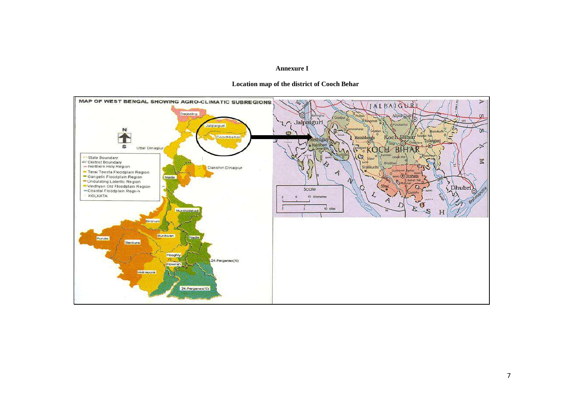#### **Annexure I**



#### **Location map of the district of Cooch Behar**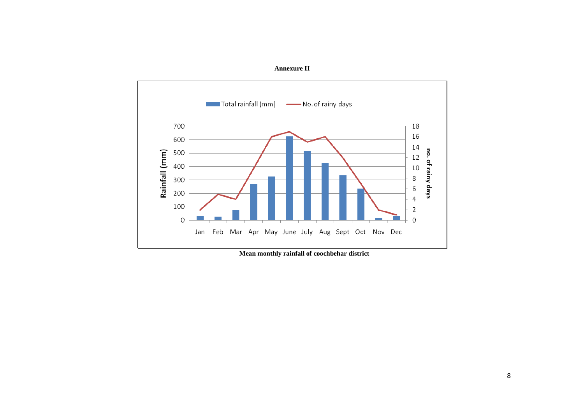

**Annexure II** 

 **Mean monthly rainfall of coochbehar district**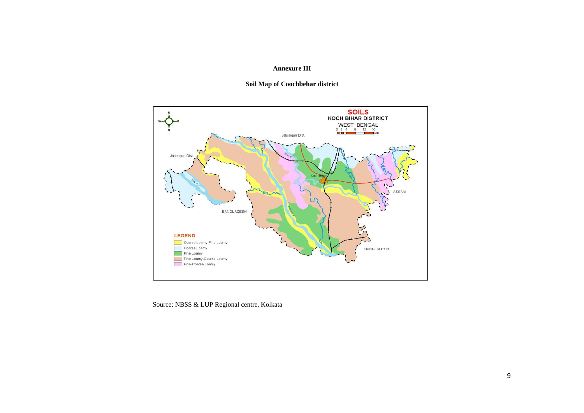### **Annexure III**





Source: NBSS & LUP Regional centre, Kolkata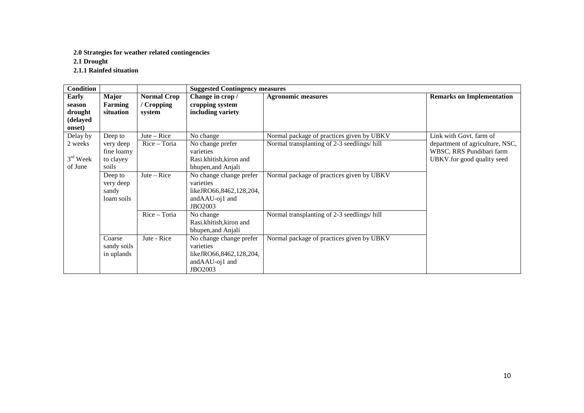#### **2.0 Strategies for weather related contingencies**

**2.1 Drought** 

**2.1.1 Rainfed situation** 

| <b>Condition</b> |                |                    | <b>Suggested Contingency measures</b> |                                            |                                  |  |
|------------------|----------------|--------------------|---------------------------------------|--------------------------------------------|----------------------------------|--|
| <b>Early</b>     | Major          | <b>Normal Crop</b> | Change in crop /                      | <b>Agronomic measures</b>                  | <b>Remarks on Implementation</b> |  |
| season           | <b>Farming</b> | / Cropping         | cropping system                       |                                            |                                  |  |
| drought          | situation      | system             | including variety                     |                                            |                                  |  |
| (delayed         |                |                    |                                       |                                            |                                  |  |
| onset)           |                |                    |                                       |                                            |                                  |  |
| Delay by         | Deep to        | Jute $-$ Rice      | No change                             | Normal package of practices given by UBKV  | Link with Govt. farm of          |  |
| 2 weeks          | very deep      | Rice - Toria       | No change prefer                      | Normal transplanting of 2-3 seedlings/hill | department of agriculture, NSC,  |  |
|                  | fine loamy     |                    | varieties                             |                                            | WBSC, RRS Pundibari farm         |  |
| $3rd$ Week       | to clayey      |                    | Rasi.khitish, kiron and               |                                            | UBKV.for good quality seed       |  |
| of June          | soils          |                    | bhupen, and Anjali                    |                                            |                                  |  |
|                  | Deep to        | $Jute - Rice$      | No change change prefer               | Normal package of practices given by UBKV  |                                  |  |
|                  | very deep      |                    | varieties                             |                                            |                                  |  |
|                  | sandy          |                    | likeJRO66,8462,128,204,               |                                            |                                  |  |
|                  | loam soils     |                    | andAAU-oj1 and                        |                                            |                                  |  |
|                  |                |                    | <b>JBO2003</b>                        |                                            |                                  |  |
|                  |                | Rice - Toria       | No change                             | Normal transplanting of 2-3 seedlings/hill |                                  |  |
|                  |                |                    | Rasi.khitish, kiron and               |                                            |                                  |  |
|                  |                |                    | bhupen, and Anjali                    |                                            |                                  |  |
|                  | Coarse         | Jute - Rice        | No change change prefer               | Normal package of practices given by UBKV  |                                  |  |
|                  | sandy soils    |                    | varieties                             |                                            |                                  |  |
|                  | in uplands     |                    | likeJRO66,8462,128,204,               |                                            |                                  |  |
|                  |                |                    | andAAU-oj1 and                        |                                            |                                  |  |
|                  |                |                    | <b>JBO2003</b>                        |                                            |                                  |  |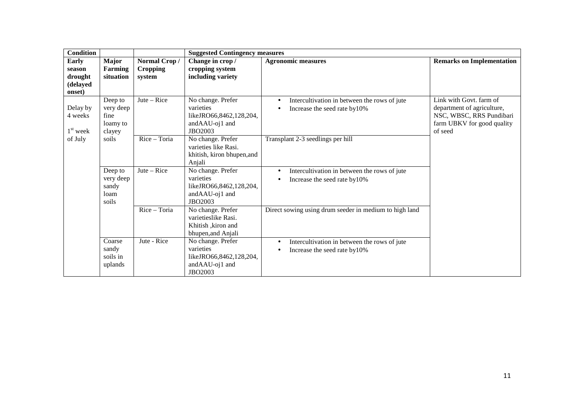| <b>Condition</b>                                 |                                                    |                                           | <b>Suggested Contingency measures</b>                                                  |                                                                                                |                                                                                                                            |
|--------------------------------------------------|----------------------------------------------------|-------------------------------------------|----------------------------------------------------------------------------------------|------------------------------------------------------------------------------------------------|----------------------------------------------------------------------------------------------------------------------------|
| Early<br>season<br>drought<br>(delayed<br>onset) | <b>Major</b><br><b>Farming</b><br>situation        | Normal Crop/<br><b>Cropping</b><br>system | Change in crop /<br>cropping system<br>including variety                               | <b>Agronomic measures</b>                                                                      | <b>Remarks on Implementation</b>                                                                                           |
| Delay by<br>4 weeks<br>$1st$ week                | Deep to<br>very deep<br>fine<br>loamy to<br>clayey | $Jute - Rice$                             | No change. Prefer<br>varieties<br>likeJRO66,8462,128,204,<br>andAAU-oj1 and<br>JBO2003 | Intercultivation in between the rows of jute<br>$\bullet$<br>Increase the seed rate by10%      | Link with Govt. farm of<br>department of agriculture,<br>NSC, WBSC, RRS Pundibari<br>farm UBKV for good quality<br>of seed |
| of July                                          | soils                                              | $Rice - Toria$                            | No change. Prefer<br>varieties like Rasi.<br>khitish, kiron bhupen, and<br>Anjali      | Transplant 2-3 seedlings per hill                                                              |                                                                                                                            |
|                                                  | Deep to<br>very deep<br>sandy<br>loam<br>soils     | $Jute - Rice$                             | No change. Prefer<br>varieties<br>likeJRO66,8462,128,204,<br>andAAU-oj1 and<br>JBO2003 | Intercultivation in between the rows of jute<br>$\bullet$<br>Increase the seed rate by10%      |                                                                                                                            |
|                                                  |                                                    | Rice - Toria                              | No change. Prefer<br>varietieslike Rasi.<br>Khitish , kiron and<br>bhupen, and Anjali  | Direct sowing using drum seeder in medium to high land                                         |                                                                                                                            |
|                                                  | Coarse<br>sandy<br>soils in<br>uplands             | Jute - Rice                               | No change. Prefer<br>varieties<br>likeJRO66,8462,128,204,<br>andAAU-oj1 and<br>JBO2003 | Intercultivation in between the rows of jute<br>$\bullet$<br>Increase the seed rate by10%<br>٠ |                                                                                                                            |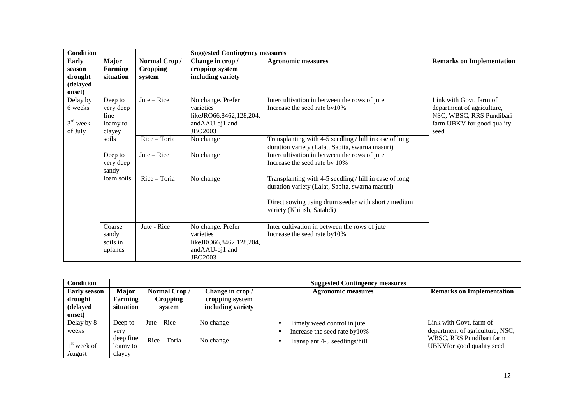| <b>Condition</b>                                        |                                                    |                                           | <b>Suggested Contingency measures</b>                                                  |                                                                                                                                                                                                |                                                                                                                         |
|---------------------------------------------------------|----------------------------------------------------|-------------------------------------------|----------------------------------------------------------------------------------------|------------------------------------------------------------------------------------------------------------------------------------------------------------------------------------------------|-------------------------------------------------------------------------------------------------------------------------|
| <b>Early</b><br>season<br>drought<br>(delayed<br>onset) | <b>Major</b><br><b>Farming</b><br>situation        | Normal Crop/<br><b>Cropping</b><br>system | Change in crop/<br>cropping system<br>including variety                                | <b>Agronomic measures</b>                                                                                                                                                                      | <b>Remarks on Implementation</b>                                                                                        |
| Delay by<br>6 weeks<br>$3rd$ week<br>of July            | Deep to<br>very deep<br>fine<br>loamy to<br>clayey | $\text{Jute} - \text{Rice}$               | No change. Prefer<br>varieties<br>likeJRO66,8462,128,204,<br>andAAU-oj1 and<br>JBO2003 | Intercultivation in between the rows of jute<br>Increase the seed rate by10%                                                                                                                   | Link with Govt, farm of<br>department of agriculture,<br>NSC, WBSC, RRS Pundibari<br>farm UBKV for good quality<br>seed |
|                                                         | soils                                              | Rice - Toria                              | No change                                                                              | Transplanting with 4-5 seedling / hill in case of long<br>duration variety (Lalat, Sabita, swarna masuri)                                                                                      |                                                                                                                         |
|                                                         | Deep to<br>very deep<br>sandy                      | $Jute - Rice$                             | No change                                                                              | Intercultivation in between the rows of jute<br>Increase the seed rate by 10%                                                                                                                  |                                                                                                                         |
|                                                         | loam soils                                         | Rice - Toria                              | No change                                                                              | Transplanting with 4-5 seedling / hill in case of long<br>duration variety (Lalat, Sabita, swarna masuri)<br>Direct sowing using drum seeder with short / medium<br>variety (Khitish, Satabdi) |                                                                                                                         |
|                                                         | Coarse<br>sandy<br>soils in<br>uplands             | Jute - Rice                               | No change. Prefer<br>varieties<br>likeJRO66,8462,128,204,<br>andAAU-oj1 and<br>JBO2003 | Inter cultivation in between the rows of jute<br>Increase the seed rate by10%                                                                                                                  |                                                                                                                         |

| <b>Condition</b>               |                  |                                 | <b>Suggested Contingency measures</b> |                               |                                  |  |
|--------------------------------|------------------|---------------------------------|---------------------------------------|-------------------------------|----------------------------------|--|
| <b>Early season</b><br>drought | Major<br>Farming | Normal Crop/<br><b>Cropping</b> | Change in crop /<br>cropping system   | <b>Agronomic measures</b>     | <b>Remarks on Implementation</b> |  |
| (delayed                       | situation        | system                          | including variety                     |                               |                                  |  |
| onset)                         |                  |                                 |                                       |                               |                                  |  |
| Delay by 8                     | Deep to          | $\text{Jute} - \text{Rice}$     | No change                             | Timely weed control in jute   | Link with Govt. farm of          |  |
| weeks                          | very             |                                 |                                       | Increase the seed rate by10%  | department of agriculture, NSC,  |  |
|                                | deep fine        | Rice - Toria                    | No change                             | Transplant 4-5 seedlings/hill | WBSC, RRS Pundibari farm         |  |
| $1st$ week of                  | loamy to         |                                 |                                       |                               | UBKVfor good quality seed        |  |
| August                         | clayey           |                                 |                                       |                               |                                  |  |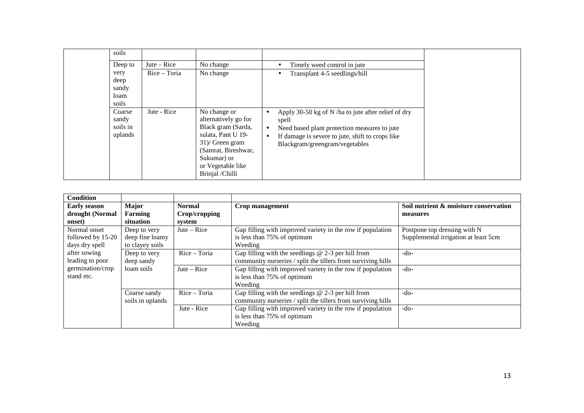| soils<br>Deep to<br>very<br>deep<br>sandy<br>loam<br>soils | $\text{Jute} - \text{Rice}$<br>Rice - Toria | No change<br>No change                                                                                                                                                               | Timely weed control in jute<br>Transplant 4-5 seedlings/hill                                                                                                                                                    |
|------------------------------------------------------------|---------------------------------------------|--------------------------------------------------------------------------------------------------------------------------------------------------------------------------------------|-----------------------------------------------------------------------------------------------------------------------------------------------------------------------------------------------------------------|
| Coarse<br>sandy<br>soils in<br>uplands                     | Jute - Rice                                 | No change or<br>alternatively go for<br>Black gram (Sarda,<br>sulata, Pant U 19-<br>$31$ )/ Green gram<br>(Samrat, Bireshwar,<br>Sukumar) or<br>or Vegetable like<br>Brinjal /Chilli | Apply 30-50 kg of N /ha to jute after relief of dry<br>spell<br>Need based plant protection measures to jute<br>If damage is severe to jute, shift to crops like<br>$\bullet$<br>Blackgram/greengram/vegetables |

| <b>Condition</b>    |                  |                             |                                                              |                                       |
|---------------------|------------------|-----------------------------|--------------------------------------------------------------|---------------------------------------|
| <b>Early season</b> | Major            | <b>Normal</b>               | Crop management                                              | Soil nutrient & moisture conservation |
| drought (Normal     | Farming          | Crop/cropping               |                                                              | measures                              |
| onset)              | situation        | system                      |                                                              |                                       |
| Normal onset        | Deep to very     | $\text{Jute} - \text{Rice}$ | Gap filling with improved variety in the row if population   | Postpone top dressing with N          |
| followed by 15-20   | deep fine loamy  |                             | is less than 75% of optimum                                  | Supplemental irrigation at least 5cm  |
| days dry spell      | to clayey soils  |                             | Weeding                                                      |                                       |
| after sowing        | Deep to very     | Rice - Toria                | Gap filling with the seedlings $@$ 2-3 per hill from         | $-do-$                                |
| leading to poor     | deep sandy       |                             | community nurseries / split the tillers from surviving hills |                                       |
| germination/crop    | loam soils       | $\text{Jute} - \text{Rice}$ | Gap filling with improved variety in the row if population   | $-do-$                                |
| stand etc.          |                  |                             | is less than 75% of optimum                                  |                                       |
|                     |                  |                             | Weeding                                                      |                                       |
|                     | Coarse sandy     | Rice - Toria                | Gap filling with the seedlings $@$ 2-3 per hill from         | $-do-$                                |
|                     | soils in uplands |                             | community nurseries / split the tillers from surviving hills |                                       |
|                     |                  | Jute - Rice                 | Gap filling with improved variety in the row if population   | $-do-$                                |
|                     |                  |                             | is less than 75% of optimum                                  |                                       |
|                     |                  |                             | Weeding                                                      |                                       |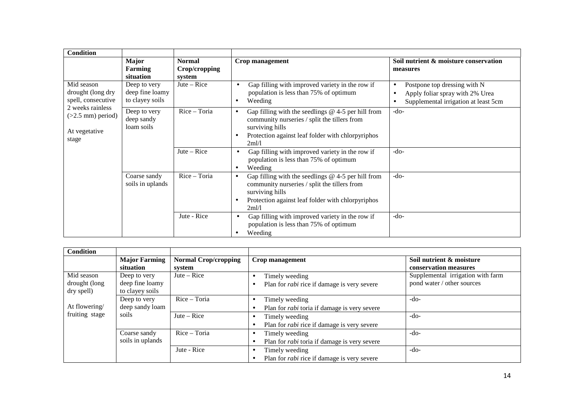| <b>Condition</b>                                                  |                                                    |                                          |                                                                                                                                                                                                                 |                                                                                                              |
|-------------------------------------------------------------------|----------------------------------------------------|------------------------------------------|-----------------------------------------------------------------------------------------------------------------------------------------------------------------------------------------------------------------|--------------------------------------------------------------------------------------------------------------|
|                                                                   | <b>Major</b><br><b>Farming</b><br>situation        | <b>Normal</b><br>Crop/cropping<br>system | <b>Crop management</b>                                                                                                                                                                                          | Soil nutrient & moisture conservation<br>measures                                                            |
| Mid season<br>drought (long dry<br>spell, consecutive             | Deep to very<br>deep fine loamy<br>to clayey soils | $\text{Jute} - \text{Rice}$              | Gap filling with improved variety in the row if<br>$\bullet$<br>population is less than 75% of optimum<br>Weeding<br>$\bullet$                                                                                  | Postpone top dressing with N<br>٠<br>Apply foliar spray with 2% Urea<br>Supplemental irrigation at least 5cm |
| 2 weeks rainless<br>$(>2.5$ mm) period)<br>At vegetative<br>stage | Deep to very<br>deep sandy<br>loam soils           | Rice - Toria                             | Gap filling with the seedlings $@$ 4-5 per hill from<br>$\bullet$<br>community nurseries / split the tillers from<br>surviving hills<br>Protection against leaf folder with chlorpyriphos<br>$\bullet$<br>2ml/l | $-do-$                                                                                                       |
|                                                                   |                                                    | Jute $-$ Rice                            | Gap filling with improved variety in the row if<br>٠<br>population is less than 75% of optimum<br>Weeding<br>$\bullet$                                                                                          | $-do-$                                                                                                       |
|                                                                   | Coarse sandy<br>soils in uplands                   | Rice - Toria                             | Gap filling with the seedlings $@$ 4-5 per hill from<br>$\bullet$<br>community nurseries / split the tillers from<br>surviving hills<br>Protection against leaf folder with chlorpyriphos<br>$\bullet$<br>2ml/l | $-do-$                                                                                                       |
|                                                                   |                                                    | Jute - Rice                              | Gap filling with improved variety in the row if<br>٠<br>population is less than 75% of optimum<br>Weeding                                                                                                       | $-do-$                                                                                                       |

| <b>Condition</b> |                      |                             |                                                     |                                   |
|------------------|----------------------|-----------------------------|-----------------------------------------------------|-----------------------------------|
|                  | <b>Major Farming</b> | <b>Normal Crop/cropping</b> | Crop management                                     | Soil nutrient & moisture          |
|                  | situation            | system                      |                                                     | conservation measures             |
| Mid season       | Deep to very         | $Jute - Rice$               | Timely weeding<br>$\bullet$                         | Supplemental irrigation with farm |
| drought (long    | deep fine loamy      |                             | Plan for <i>rabi</i> rice if damage is very severe  | pond water / other sources        |
| dry spell)       | to clayey soils      |                             |                                                     |                                   |
|                  | Deep to very         | Rice - Toria                | Timely weeding<br>$\bullet$                         | -do-                              |
| At flowering/    | deep sandy loam      |                             | Plan for <i>rabi</i> toria if damage is very severe |                                   |
| fruiting stage   | soils                | $\text{Jute} - \text{Rice}$ | Timely weeding                                      | -do-                              |
|                  |                      |                             | Plan for <i>rabi</i> rice if damage is very severe  |                                   |
|                  | Coarse sandy         | Rice - Toria                | Timely weeding                                      | -do-                              |
|                  | soils in uplands     |                             | Plan for <i>rabi</i> toria if damage is very severe |                                   |
|                  |                      | Jute - Rice                 | Timely weeding<br>$\bullet$                         | -do-                              |
|                  |                      |                             | Plan for <i>rabi</i> rice if damage is very severe  |                                   |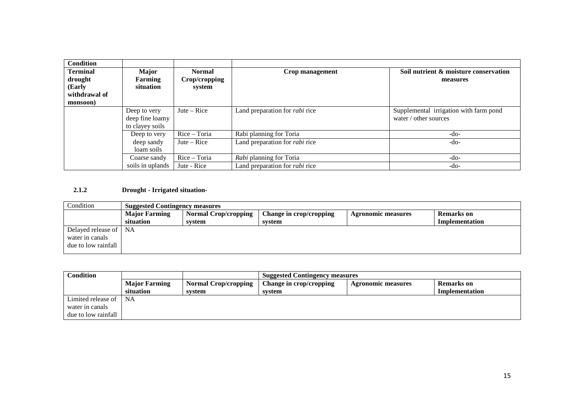| <b>Condition</b> |                  |               |                                       |                                        |
|------------------|------------------|---------------|---------------------------------------|----------------------------------------|
|                  |                  |               |                                       |                                        |
| <b>Terminal</b>  | Major            | <b>Normal</b> | Crop management                       | Soil nutrient & moisture conservation  |
| drought          | Farming          | Crop/cropping |                                       | measures                               |
| (Early           | situation        | system        |                                       |                                        |
| withdrawal of    |                  |               |                                       |                                        |
| monsoon)         |                  |               |                                       |                                        |
|                  | Deep to very     | Jute $-$ Rice | Land preparation for <i>rabi</i> rice | Supplemental irrigation with farm pond |
|                  | deep fine loamy  |               |                                       | water / other sources                  |
|                  | to clayey soils  |               |                                       |                                        |
|                  | Deep to very     | Rice - Toria  | Rabi planning for Toria               | $-do-$                                 |
|                  | deep sandy       | Jute $-$ Rice | Land preparation for <i>rabi</i> rice | $-do-$                                 |
|                  | loam soils       |               |                                       |                                        |
|                  | Coarse sandy     | Rice - Toria  | Rabi planning for Toria               | $-do-$                                 |
|                  | soils in uplands | Jute - Rice   | Land preparation for <i>rabi</i> rice | $-do-$                                 |

## **2.1.2 Drought - Irrigated situation-**

| Condition             |                      | <b>Suggested Contingency measures</b> |                         |                           |                |
|-----------------------|----------------------|---------------------------------------|-------------------------|---------------------------|----------------|
|                       | <b>Major Farming</b> | <b>Normal Crop/cropping</b>           | Change in crop/cropping | <b>Agronomic measures</b> | Remarks on     |
|                       | situation            | system                                | svstem                  |                           | Implementation |
| Delayed release of NA |                      |                                       |                         |                           |                |
| water in canals       |                      |                                       |                         |                           |                |
| due to low rainfall   |                      |                                       |                         |                           |                |
|                       |                      |                                       |                         |                           |                |

| <b>Condition</b>    |                      | <b>Suggested Contingency measures</b> |                         |                           |                |
|---------------------|----------------------|---------------------------------------|-------------------------|---------------------------|----------------|
|                     | <b>Major Farming</b> | <b>Normal Crop/cropping</b>           | Change in crop/cropping | <b>Agronomic measures</b> | Remarks on     |
|                     | situation            | svstem                                | system                  |                           | Implementation |
| Limited release of  | <b>NA</b>            |                                       |                         |                           |                |
| water in canals     |                      |                                       |                         |                           |                |
| due to low rainfall |                      |                                       |                         |                           |                |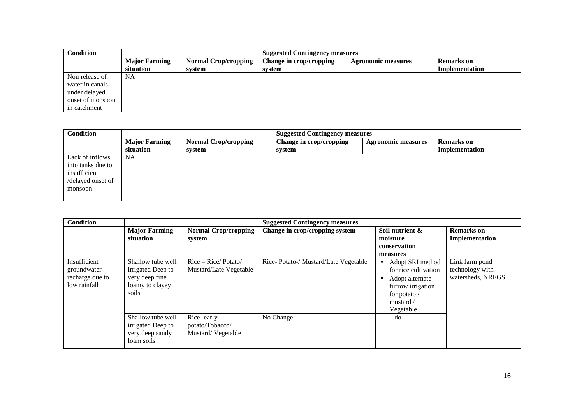| <b>Condition</b> |                      |                             | <b>Suggested Contingency measures</b> |                           |                       |
|------------------|----------------------|-----------------------------|---------------------------------------|---------------------------|-----------------------|
|                  | <b>Major Farming</b> | <b>Normal Crop/cropping</b> | Change in crop/cropping               | <b>Agronomic measures</b> | Remarks on            |
|                  | situation            | system                      | system                                |                           | <b>Implementation</b> |
| Non release of   | <b>NA</b>            |                             |                                       |                           |                       |
| water in canals  |                      |                             |                                       |                           |                       |
| under delayed    |                      |                             |                                       |                           |                       |
| onset of monsoon |                      |                             |                                       |                           |                       |
| in catchment     |                      |                             |                                       |                           |                       |

| <b>Condition</b>  |                      | <b>Suggested Contingency measures</b> |                         |                           |                   |
|-------------------|----------------------|---------------------------------------|-------------------------|---------------------------|-------------------|
|                   | <b>Major Farming</b> | <b>Normal Crop/cropping</b>           | Change in crop/cropping | <b>Agronomic measures</b> | <b>Remarks</b> on |
|                   | situation            | system                                | system                  |                           | Implementation    |
| Lack of inflows   | NA                   |                                       |                         |                           |                   |
| into tanks due to |                      |                                       |                         |                           |                   |
| insufficient      |                      |                                       |                         |                           |                   |
| /delayed onset of |                      |                                       |                         |                           |                   |
| monsoon           |                      |                                       |                         |                           |                   |
|                   |                      |                                       |                         |                           |                   |

| <b>Condition</b>                                               |                                                                                      |                                                    | <b>Suggested Contingency measures</b> |                                                                                                                           |                                                        |
|----------------------------------------------------------------|--------------------------------------------------------------------------------------|----------------------------------------------------|---------------------------------------|---------------------------------------------------------------------------------------------------------------------------|--------------------------------------------------------|
|                                                                | <b>Major Farming</b><br>situation                                                    | <b>Normal Crop/cropping</b><br>system              | Change in crop/cropping system        | Soil nutrient &<br>moisture<br>conservation<br>measures                                                                   | <b>Remarks</b> on<br>Implementation                    |
| Insufficient<br>groundwater<br>recharge due to<br>low rainfall | Shallow tube well<br>irrigated Deep to<br>very deep fine<br>loamy to clayey<br>soils | $Rice - Rice / Potato/$<br>Mustard/Late Vegetable  | Rice-Potato-/Mustard/Late Vegetable   | Adopt SRI method<br>for rice cultivation<br>Adopt alternate<br>furrow irrigation<br>for potato /<br>mustard/<br>Vegetable | Link farm pond<br>technology with<br>watersheds, NREGS |
|                                                                | Shallow tube well<br>irrigated Deep to<br>very deep sandy<br>loam soils              | Rice-early<br>potato/Tobacco/<br>Mustard/Vegetable | No Change                             | $-do-$                                                                                                                    |                                                        |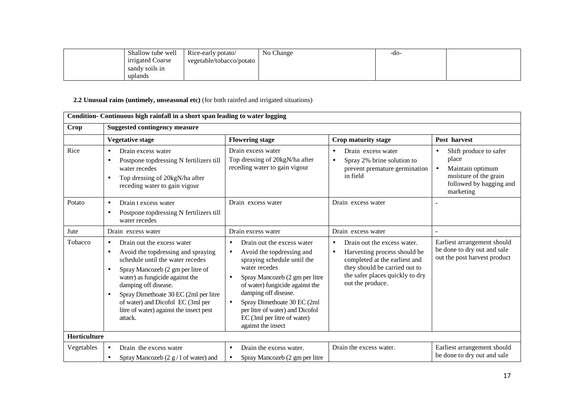| Shallow tube well | Rice-early potato/       | No Change | -do- |  |
|-------------------|--------------------------|-----------|------|--|
| irrigated Coarse  | vegetable/tobacco/potato |           |      |  |
| sandy soils in    |                          |           |      |  |
| uplands           |                          |           |      |  |

## **2.2 Unusual rains (untimely, unseasonal etc)** (for both rainfed and irrigated situations)

|              | Condition- Continuous high rainfall in a short span leading to water logging                                                                                                                                                                                                                                                                                                                 |                                                                                                                                                                                                                                                                                                                                                                    |                                                                                                                                                                                                                |                                                                                                                                                |  |
|--------------|----------------------------------------------------------------------------------------------------------------------------------------------------------------------------------------------------------------------------------------------------------------------------------------------------------------------------------------------------------------------------------------------|--------------------------------------------------------------------------------------------------------------------------------------------------------------------------------------------------------------------------------------------------------------------------------------------------------------------------------------------------------------------|----------------------------------------------------------------------------------------------------------------------------------------------------------------------------------------------------------------|------------------------------------------------------------------------------------------------------------------------------------------------|--|
| <b>Crop</b>  | <b>Suggested contingency measure</b>                                                                                                                                                                                                                                                                                                                                                         |                                                                                                                                                                                                                                                                                                                                                                    |                                                                                                                                                                                                                |                                                                                                                                                |  |
|              | <b>Vegetative stage</b>                                                                                                                                                                                                                                                                                                                                                                      | <b>Flowering stage</b>                                                                                                                                                                                                                                                                                                                                             | Crop maturity stage                                                                                                                                                                                            | Post harvest                                                                                                                                   |  |
| Rice         | Drain excess water<br>$\bullet$<br>Postpone topdressing N fertilizers till<br>$\bullet$<br>water recedes<br>Top dressing of 20kgN/ha after<br>$\bullet$<br>receding water to gain vigour                                                                                                                                                                                                     | Drain excess water<br>Top dressing of 20kgN/ha after<br>receding water to gain vigour                                                                                                                                                                                                                                                                              | Drain excess water<br>$\bullet$<br>Spray 2% brine solution to<br>$\bullet$<br>prevent premature germination<br>in field                                                                                        | Shift produce to safer<br>$\bullet$<br>place<br>Maintain optimum<br>$\bullet$<br>moisture of the grain<br>followed by bagging and<br>marketing |  |
| Potato       | Drain t excess water<br>$\bullet$<br>Postpone topdressing N fertilizers till<br>$\bullet$<br>water recedes                                                                                                                                                                                                                                                                                   | Drain excess water                                                                                                                                                                                                                                                                                                                                                 | Drain excess water                                                                                                                                                                                             |                                                                                                                                                |  |
| Jute         | Drain excess water                                                                                                                                                                                                                                                                                                                                                                           | Drain excess water                                                                                                                                                                                                                                                                                                                                                 | Drain excess water                                                                                                                                                                                             |                                                                                                                                                |  |
| Tobacco      | Drain out the excess water<br>$\bullet$<br>Avoid the topdressing and spraying<br>$\bullet$<br>schedule until the water recedes<br>Spray Mancozeb (2 gm per litre of<br>$\bullet$<br>water) as fungicide against the<br>damping off disease.<br>Spray Dimethoate 30 EC (2ml per litre<br>$\bullet$<br>of water) and Dicofol EC (3ml per<br>litre of water) against the insect pest<br>attack. | Drain out the excess water<br>$\bullet$<br>Avoid the topdressing and<br>$\bullet$<br>spraying schedule until the<br>water recedes<br>Spray Mancozeb (2 gm per litre<br>of water) fungicide against the<br>damping off disease.<br>Spray Dimethoate 30 EC (2ml<br>$\bullet$<br>per litre of water) and Dicofol<br>EC (3ml per litre of water)<br>against the insect | Drain out the excess water.<br>$\bullet$<br>Harvesting process should be<br>$\bullet$<br>completed at the earliest and<br>they should be carried out to<br>the safer places quickly to dry<br>out the produce. | Earliest arrangement should<br>be done to dry out and sale<br>out the post harvest product                                                     |  |
| Horticulture |                                                                                                                                                                                                                                                                                                                                                                                              |                                                                                                                                                                                                                                                                                                                                                                    |                                                                                                                                                                                                                |                                                                                                                                                |  |
| Vegetables   | Drain the excess water<br>$\bullet$<br>Spray Mancozeb (2 g / 1 of water) and<br>$\bullet$                                                                                                                                                                                                                                                                                                    | Drain the excess water.<br>$\bullet$<br>Spray Mancozeb (2 gm per litre<br>$\bullet$                                                                                                                                                                                                                                                                                | Drain the excess water.                                                                                                                                                                                        | Earliest arrangement should<br>be done to dry out and sale                                                                                     |  |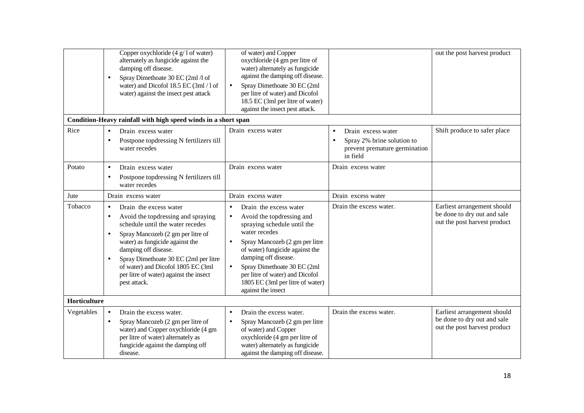|              | Copper oxychloride $(4 \text{ g}/1)$ of water)<br>alternately as fungicide against the<br>damping off disease.<br>Spray Dimethoate 30 EC (2ml /l of<br>$\bullet$<br>water) and Dicofol 18.5 EC (3ml / 1 of<br>water) against the insect pest attack                                                                                                                                            | of water) and Copper<br>oxychloride (4 gm per litre of<br>water) alternately as fungicide<br>against the damping off disease.<br>Spray Dimethoate 30 EC (2ml<br>$\bullet$<br>per litre of water) and Dicofol<br>18.5 EC (3ml per litre of water)<br>against the insect pest attack.                                                                                  |                                                                                                                         | out the post harvest product                                                               |
|--------------|------------------------------------------------------------------------------------------------------------------------------------------------------------------------------------------------------------------------------------------------------------------------------------------------------------------------------------------------------------------------------------------------|----------------------------------------------------------------------------------------------------------------------------------------------------------------------------------------------------------------------------------------------------------------------------------------------------------------------------------------------------------------------|-------------------------------------------------------------------------------------------------------------------------|--------------------------------------------------------------------------------------------|
|              | Condition-Heavy rainfall with high speed winds in a short span                                                                                                                                                                                                                                                                                                                                 |                                                                                                                                                                                                                                                                                                                                                                      |                                                                                                                         |                                                                                            |
| Rice         | Drain excess water<br>$\bullet$<br>Postpone topdressing N fertilizers till<br>$\bullet$<br>water recedes                                                                                                                                                                                                                                                                                       | Drain excess water                                                                                                                                                                                                                                                                                                                                                   | Drain excess water<br>$\bullet$<br>Spray 2% brine solution to<br>$\bullet$<br>prevent premature germination<br>in field | Shift produce to safer place                                                               |
| Potato       | $\bullet$<br>Drain excess water<br>Postpone topdressing N fertilizers till<br>$\bullet$<br>water recedes                                                                                                                                                                                                                                                                                       | Drain excess water                                                                                                                                                                                                                                                                                                                                                   | Drain excess water                                                                                                      |                                                                                            |
| Jute         | Drain excess water                                                                                                                                                                                                                                                                                                                                                                             | Drain excess water                                                                                                                                                                                                                                                                                                                                                   | Drain excess water                                                                                                      |                                                                                            |
| Tobacco      | Drain the excess water<br>$\bullet$<br>Avoid the top dressing and spraying<br>$\bullet$<br>schedule until the water recedes<br>Spray Mancozeb (2 gm per litre of<br>$\bullet$<br>water) as fungicide against the<br>damping off disease.<br>Spray Dimethoate 30 EC (2ml per litre<br>$\bullet$<br>of water) and Dicofol 1805 EC (3ml<br>per litre of water) against the insect<br>pest attack. | Drain the excess water<br>$\bullet$<br>Avoid the top dressing and<br>$\bullet$<br>spraying schedule until the<br>water recedes<br>Spray Mancozeb (2 gm per litre<br>$\bullet$<br>of water) fungicide against the<br>damping off disease.<br>Spray Dimethoate 30 EC (2ml<br>per litre of water) and Dicofol<br>1805 EC (3ml per litre of water)<br>against the insect | Drain the excess water.                                                                                                 | Earliest arrangement should<br>be done to dry out and sale<br>out the post harvest product |
| Horticulture |                                                                                                                                                                                                                                                                                                                                                                                                |                                                                                                                                                                                                                                                                                                                                                                      |                                                                                                                         |                                                                                            |
| Vegetables   | Drain the excess water.<br>$\bullet$<br>Spray Mancozeb (2 gm per litre of<br>$\bullet$<br>water) and Copper oxychloride (4 gm<br>per litre of water) alternately as<br>fungicide against the damping off<br>disease.                                                                                                                                                                           | Drain the excess water.<br>$\bullet$<br>Spray Mancozeb (2 gm per litre<br>of water) and Copper<br>oxychloride (4 gm per litre of<br>water) alternately as fungicide<br>against the damping off disease.                                                                                                                                                              | Drain the excess water.                                                                                                 | Earliest arrangement should<br>be done to dry out and sale<br>out the post harvest product |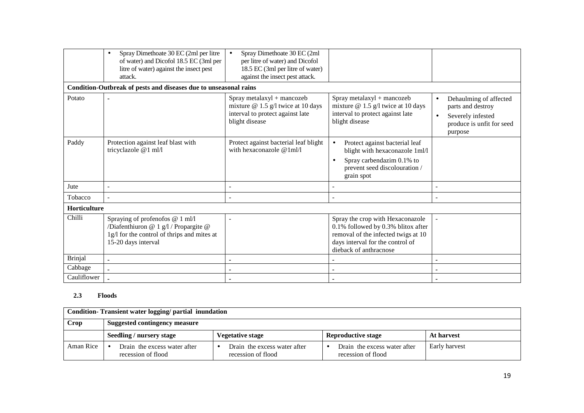|                | Spray Dimethoate 30 EC (2ml per litre<br>$\bullet$<br>of water) and Dicofol 18.5 EC (3ml per<br>litre of water) against the insect pest<br>attack. | Spray Dimethoate 30 EC (2ml<br>$\bullet$<br>per litre of water) and Dicofol<br>18.5 EC (3ml per litre of water)<br>against the insect pest attack. |                                                                                                                                                                             |                                                                                                          |
|----------------|----------------------------------------------------------------------------------------------------------------------------------------------------|----------------------------------------------------------------------------------------------------------------------------------------------------|-----------------------------------------------------------------------------------------------------------------------------------------------------------------------------|----------------------------------------------------------------------------------------------------------|
|                | Condition-Outbreak of pests and diseases due to unseasonal rains                                                                                   |                                                                                                                                                    |                                                                                                                                                                             |                                                                                                          |
| Potato         |                                                                                                                                                    | Spray metalaxyl + mancozeb<br>mixture $@ 1.5 g/l$ twice at 10 days<br>interval to protect against late<br>blight disease                           | Spray metalaxyl + mancozeb<br>mixture $@ 1.5 g/l$ twice at 10 days<br>interval to protect against late<br>blight disease                                                    | Dehaulming of affected<br>parts and destroy<br>Severely infested<br>produce is unfit for seed<br>purpose |
| Paddy          | Protection against leaf blast with<br>tricyclazole @1 ml/l                                                                                         | Protect against bacterial leaf blight<br>with hexaconazole $@1m1/1$                                                                                | $\bullet$<br>Protect against bacterial leaf<br>blight with hexaconazole 1ml/l<br>Spray carbendazim 0.1% to<br>$\bullet$<br>prevent seed discolouration /<br>grain spot      |                                                                                                          |
| Jute           |                                                                                                                                                    |                                                                                                                                                    |                                                                                                                                                                             |                                                                                                          |
| Tobacco        |                                                                                                                                                    |                                                                                                                                                    | $\tilde{\phantom{a}}$                                                                                                                                                       |                                                                                                          |
| Horticulture   |                                                                                                                                                    |                                                                                                                                                    |                                                                                                                                                                             |                                                                                                          |
| Chilli         | Spraying of profenofos @ 1 ml/l<br>/Diafenthiuron @ 1 g/l / Propargite @<br>1g/l for the control of thrips and mites at<br>15-20 days interval     |                                                                                                                                                    | Spray the crop with Hexaconazole<br>0.1% followed by 0.3% blitox after<br>removal of the infected twigs at 10<br>days interval for the control of<br>dieback of anthracnose |                                                                                                          |
| <b>Brinjal</b> |                                                                                                                                                    |                                                                                                                                                    |                                                                                                                                                                             |                                                                                                          |
| Cabbage        |                                                                                                                                                    |                                                                                                                                                    |                                                                                                                                                                             |                                                                                                          |
| Cauliflower    |                                                                                                                                                    |                                                                                                                                                    |                                                                                                                                                                             |                                                                                                          |

## **2.3 Floods**

|           | Condition-Transient water logging/partial inundation |                                                    |                                                    |               |  |
|-----------|------------------------------------------------------|----------------------------------------------------|----------------------------------------------------|---------------|--|
| Crop      | <b>Suggested contingency measure</b>                 |                                                    |                                                    |               |  |
|           | Seedling / nursery stage                             | <b>Vegetative stage</b>                            | <b>Reproductive stage</b>                          | At harvest    |  |
| Aman Rice | Drain the excess water after<br>recession of flood   | Drain the excess water after<br>recession of flood | Drain the excess water after<br>recession of flood | Early harvest |  |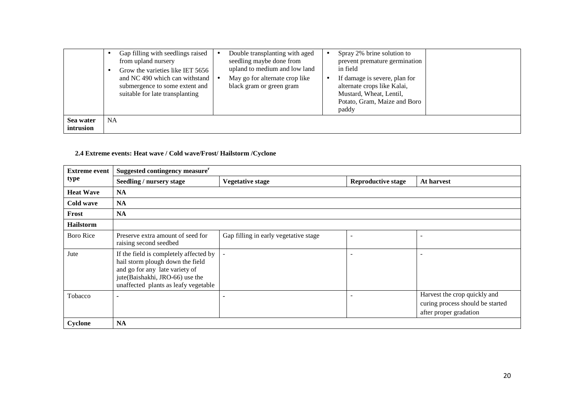|                        | Gap filling with seedlings raised<br>from upland nursery<br>Grow the varieties like IET 5656<br>and NC 490 which can withstand<br>submergence to some extent and<br>suitable for late transplanting | Double transplanting with aged<br>Spray 2% brine solution to<br>seedling maybe done from<br>prevent premature germination<br>upland to medium and low land<br>in field<br>May go for alternate crop like<br>If damage is severe, plan for<br>alternate crops like Kalai,<br>black gram or green gram<br>Mustard, Wheat, Lentil,<br>Potato, Gram, Maize and Boro<br>paddy |
|------------------------|-----------------------------------------------------------------------------------------------------------------------------------------------------------------------------------------------------|--------------------------------------------------------------------------------------------------------------------------------------------------------------------------------------------------------------------------------------------------------------------------------------------------------------------------------------------------------------------------|
| Sea water<br>intrusion | NA.                                                                                                                                                                                                 |                                                                                                                                                                                                                                                                                                                                                                          |

# **2.4 Extreme events: Heat wave / Cold wave/Frost/ Hailstorm /Cyclone**

| <b>Extreme event</b> | Suggested contingency measure <sup>r</sup>                                                                                                                                              |                                       |                           |                                                                                            |
|----------------------|-----------------------------------------------------------------------------------------------------------------------------------------------------------------------------------------|---------------------------------------|---------------------------|--------------------------------------------------------------------------------------------|
| type                 | Seedling / nursery stage                                                                                                                                                                | <b>Vegetative stage</b>               | <b>Reproductive stage</b> | At harvest                                                                                 |
| <b>Heat Wave</b>     | <b>NA</b>                                                                                                                                                                               |                                       |                           |                                                                                            |
| Cold wave            | <b>NA</b>                                                                                                                                                                               |                                       |                           |                                                                                            |
| Frost                | <b>NA</b>                                                                                                                                                                               |                                       |                           |                                                                                            |
| <b>Hailstorm</b>     |                                                                                                                                                                                         |                                       |                           |                                                                                            |
| Boro Rice            | Preserve extra amount of seed for<br>raising second seedbed                                                                                                                             | Gap filling in early vegetative stage |                           |                                                                                            |
| Jute                 | If the field is completely affected by<br>hail storm plough down the field<br>and go for any late variety of<br>jute(Baishakhi, JRO-66) use the<br>unaffected plants as leafy vegetable |                                       | $\overline{\phantom{a}}$  |                                                                                            |
| Tobacco              |                                                                                                                                                                                         |                                       |                           | Harvest the crop quickly and<br>curing process should be started<br>after proper gradation |
| Cyclone              | <b>NA</b>                                                                                                                                                                               |                                       |                           |                                                                                            |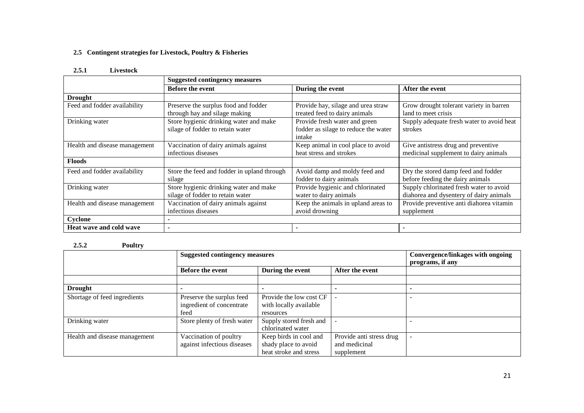### **2.5 Contingent strategies for Livestock, Poultry & Fisheries**

#### **2.5.1 Livestock**

|                                | <b>Suggested contingency measures</b>       |                                      |                                           |  |
|--------------------------------|---------------------------------------------|--------------------------------------|-------------------------------------------|--|
|                                | <b>Before the event</b>                     | During the event                     | After the event                           |  |
| <b>Drought</b>                 |                                             |                                      |                                           |  |
| Feed and fodder availability   | Preserve the surplus food and fodder        | Provide hay, silage and urea straw   | Grow drought tolerant variety in barren   |  |
|                                | through hay and silage making               | treated feed to dairy animals        | land to meet crisis                       |  |
| Drinking water                 | Store hygienic drinking water and make      | Provide fresh water and green        | Supply adequate fresh water to avoid heat |  |
|                                | silage of fodder to retain water            | fodder as silage to reduce the water | strokes                                   |  |
|                                |                                             | intake                               |                                           |  |
| Health and disease management  | Vaccination of dairy animals against        | Keep animal in cool place to avoid   | Give antistress drug and preventive       |  |
|                                | infectious diseases                         | heat stress and strokes              | medicinal supplement to dairy animals     |  |
| <b>Floods</b>                  |                                             |                                      |                                           |  |
| Feed and fodder availability   | Store the feed and fodder in upland through | Avoid damp and moldy feed and        | Dry the stored damp feed and fodder       |  |
|                                | silage                                      | fodder to dairy animals              | before feeding the dairy animals          |  |
| Drinking water                 | Store hygienic drinking water and make      | Provide hygienic and chlorinated     | Supply chlorinated fresh water to avoid   |  |
|                                | silage of fodder to retain water            | water to dairy animals               | diahorea and dysentery of dairy animals   |  |
| Health and disease management  | Vaccination of dairy animals against        | Keep the animals in upland areas to  | Provide preventive anti diahorea vitamin  |  |
|                                | infectious diseases                         | avoid drowning                       | supplement                                |  |
| Cyclone                        |                                             |                                      |                                           |  |
| <b>Heat wave and cold wave</b> |                                             |                                      |                                           |  |

## **2.5.2 Poultry**

|                               | <b>Suggested contingency measures</b>                          |                                                                          |                                                         | Convergence/linkages with ongoing<br>programs, if any |
|-------------------------------|----------------------------------------------------------------|--------------------------------------------------------------------------|---------------------------------------------------------|-------------------------------------------------------|
|                               | <b>Before the event</b>                                        | During the event                                                         | After the event                                         |                                                       |
|                               |                                                                |                                                                          |                                                         |                                                       |
| <b>Drought</b>                |                                                                |                                                                          |                                                         |                                                       |
| Shortage of feed ingredients  | Preserve the surplus feed<br>ingredient of concentrate<br>feed | Provide the low cost CF<br>with locally available<br>resources           |                                                         |                                                       |
| Drinking water                | Store plenty of fresh water                                    | Supply stored fresh and<br>chlorinated water                             |                                                         |                                                       |
| Health and disease management | Vaccination of poultry<br>against infectious diseases          | Keep birds in cool and<br>shady place to avoid<br>heat stroke and stress | Provide anti stress drug<br>and medicinal<br>supplement |                                                       |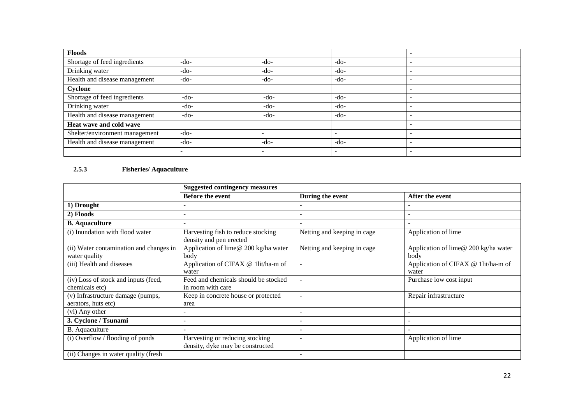| Floods                         |                          |                          |                          |                          |
|--------------------------------|--------------------------|--------------------------|--------------------------|--------------------------|
| Shortage of feed ingredients   | $-do-$                   | $-do-$                   | $-do-$                   |                          |
| Drinking water                 | $-do-$                   | $-do-$                   | -do-                     |                          |
| Health and disease management  | $-do-$                   | $-do-$                   | -do-                     |                          |
| Cyclone                        |                          |                          |                          | $\overline{\phantom{0}}$ |
| Shortage of feed ingredients   | $-do-$                   | -do-                     | $-do-$                   | $\overline{\phantom{0}}$ |
| Drinking water                 | $-do-$                   | $-do-$                   | $-do-$                   |                          |
| Health and disease management  | $-do-$                   | -do-                     | -do-                     |                          |
| Heat wave and cold wave        |                          |                          |                          |                          |
| Shelter/environment management | $-do-$                   | $\overline{\phantom{a}}$ | $\overline{\phantom{a}}$ |                          |
| Health and disease management  | $-do-$                   | $-do-$                   | $-do-$                   | $\overline{\phantom{a}}$ |
|                                | $\overline{\phantom{0}}$ | $\overline{\phantom{0}}$ | $\overline{\phantom{a}}$ |                          |

## **2.5.3 Fisheries/ Aquaculture**

|                                                          | <b>Suggested contingency measures</b>                               |                             |                                              |  |
|----------------------------------------------------------|---------------------------------------------------------------------|-----------------------------|----------------------------------------------|--|
|                                                          | <b>Before the event</b>                                             | During the event            | After the event                              |  |
| 1) Drought                                               |                                                                     |                             |                                              |  |
| 2) Floods                                                |                                                                     |                             |                                              |  |
| <b>B.</b> Aquaculture                                    |                                                                     |                             |                                              |  |
| (i) Inundation with flood water                          | Harvesting fish to reduce stocking<br>density and pen erected       | Netting and keeping in cage | Application of lime                          |  |
| (ii) Water contamination and changes in<br>water quality | Application of lime@ 200 kg/ha water<br>body                        | Netting and keeping in cage | Application of lime@ 200 kg/ha water<br>body |  |
| (iii) Health and diseases                                | Application of CIFAX @ 1lit/ha-m of<br>water                        |                             | Application of CIFAX @ 1lit/ha-m of<br>water |  |
| (iv) Loss of stock and inputs (feed,<br>chemicals etc)   | Feed and chemicals should be stocked<br>in room with care           |                             | Purchase low cost input                      |  |
| (v) Infrastructure damage (pumps,<br>aerators, huts etc) | Keep in concrete house or protected<br>area                         |                             | Repair infrastructure                        |  |
| (vi) Any other                                           |                                                                     |                             | $\overline{\phantom{a}}$                     |  |
| 3. Cyclone / Tsunami                                     |                                                                     |                             | $\overline{\phantom{0}}$                     |  |
| <b>B.</b> Aquaculture                                    |                                                                     |                             | $\overline{\phantom{a}}$                     |  |
| (i) Overflow / flooding of ponds                         | Harvesting or reducing stocking<br>density, dyke may be constructed |                             | Application of lime                          |  |
| (ii) Changes in water quality (fresh                     |                                                                     |                             |                                              |  |